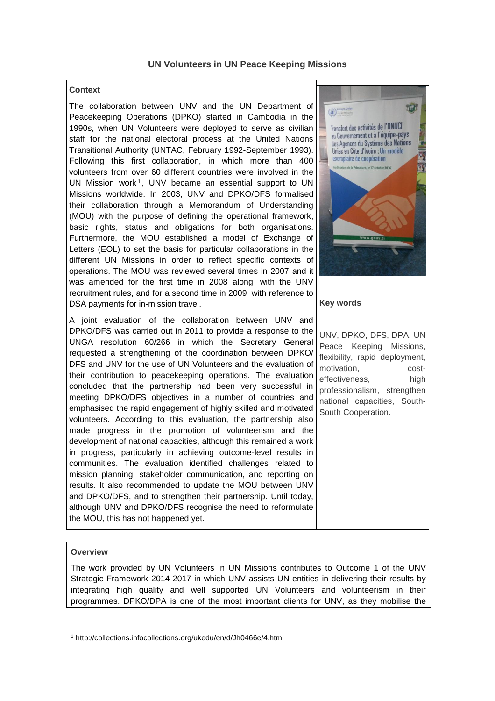## **Context**

The collaboration between UNV and the UN Department of Peacekeeping Operations (DPKO) started in Cambodia in the 1990s, when UN Volunteers were deployed to serve as civilian staff for the national electoral process at the United Nations Transitional Authority (UNTAC, February 1992-September 1993). Following this first collaboration, in which more than 400 volunteers from over 60 different countries were involved in the UN Mission work<sup>1</sup>, UNV became an essential support to UN Missions worldwide. In 2003, UNV and DPKO/DFS formalised their collaboration through a Memorandum of Understanding (MOU) with the purpose of defining the operational framework, basic rights, status and obligations for both organisations. Furthermore, the MOU established a model of Exchange of Letters (EOL) to set the basis for particular collaborations in the different UN Missions in order to reflect specific contexts of operations. The MOU was reviewed several times in 2007 and it was amended for the first time in 2008 along with the UNV recruitment rules, and for a second time in 2009 with reference to DSA payments for in-mission travel.

A joint evaluation of the collaboration between UNV and DPKO/DFS was carried out in 2011 to provide a response to the UNGA resolution 60/266 in which the Secretary General requested a strengthening of the coordination between DPKO/ DFS and UNV for the use of UN Volunteers and the evaluation of their contribution to peacekeeping operations. The evaluation concluded that the partnership had been very successful in meeting DPKO/DFS objectives in a number of countries and emphasised the rapid engagement of highly skilled and motivated volunteers. According to this evaluation, the partnership also made progress in the promotion of volunteerism and the development of national capacities, although this remained a work in progress, particularly in achieving outcome-level results in communities. The evaluation identified challenges related to mission planning, stakeholder communication, and reporting on results. It also recommended to update the MOU between UNV and DPKO/DFS, and to strengthen their partnership. Until today, although UNV and DPKO/DFS recognise the need to reformulate the MOU, this has not happened yet.



### **Key words**

UNV, DPKO, DFS, DPA, UN Peace Keeping Missions, flexibility, rapid deployment, motivation, costeffectiveness. high professionalism, strengthen national capacities, South-South Cooperation.

#### **Overview**

The work provided by UN Volunteers in UN Missions contributes to Outcome 1 of the UNV Strategic Framework 2014-2017 in which UNV assists UN entities in delivering their results by integrating high quality and well supported UN Volunteers and volunteerism in their programmes. DPKO/DPA is one of the most important clients for UNV, as they mobilise the

<sup>1</sup> <sup>1</sup> http://collections.infocollections.org/ukedu/en/d/Jh0466e/4.html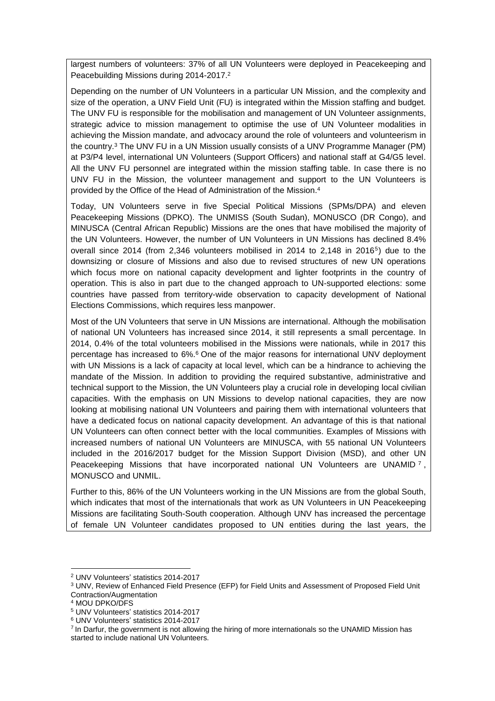largest numbers of volunteers: 37% of all UN Volunteers were deployed in Peacekeeping and Peacebuilding Missions during 2014-2017. 2

Depending on the number of UN Volunteers in a particular UN Mission, and the complexity and size of the operation, a UNV Field Unit (FU) is integrated within the Mission staffing and budget. The UNV FU is responsible for the mobilisation and management of UN Volunteer assignments, strategic advice to mission management to optimise the use of UN Volunteer modalities in achieving the Mission mandate, and advocacy around the role of volunteers and volunteerism in the country.<sup>3</sup> The UNV FU in a UN Mission usually consists of a UNV Programme Manager (PM) at P3/P4 level, international UN Volunteers (Support Officers) and national staff at G4/G5 level. All the UNV FU personnel are integrated within the mission staffing table. In case there is no UNV FU in the Mission, the volunteer management and support to the UN Volunteers is provided by the Office of the Head of Administration of the Mission. 4

Today, UN Volunteers serve in five Special Political Missions (SPMs/DPA) and eleven Peacekeeping Missions (DPKO). The UNMISS (South Sudan), MONUSCO (DR Congo), and MINUSCA (Central African Republic) Missions are the ones that have mobilised the majority of the UN Volunteers. However, the number of UN Volunteers in UN Missions has declined 8.4% overall since 2014 (from 2,346 volunteers mobilised in 2014 to 2,148 in 2016<sup>5</sup> ) due to the downsizing or closure of Missions and also due to revised structures of new UN operations which focus more on national capacity development and lighter footprints in the country of operation. This is also in part due to the changed approach to UN-supported elections: some countries have passed from territory-wide observation to capacity development of National Elections Commissions, which requires less manpower.

Most of the UN Volunteers that serve in UN Missions are international. Although the mobilisation of national UN Volunteers has increased since 2014, it still represents a small percentage. In 2014, 0.4% of the total volunteers mobilised in the Missions were nationals, while in 2017 this percentage has increased to 6%. <sup>6</sup> One of the major reasons for international UNV deployment with UN Missions is a lack of capacity at local level, which can be a hindrance to achieving the mandate of the Mission. In addition to providing the required substantive, administrative and technical support to the Mission, the UN Volunteers play a crucial role in developing local civilian capacities. With the emphasis on UN Missions to develop national capacities, they are now looking at mobilising national UN Volunteers and pairing them with international volunteers that have a dedicated focus on national capacity development. An advantage of this is that national UN Volunteers can often connect better with the local communities. Examples of Missions with increased numbers of national UN Volunteers are MINUSCA, with 55 national UN Volunteers included in the 2016/2017 budget for the Mission Support Division (MSD), and other UN Peacekeeping Missions that have incorporated national UN Volunteers are UNAMID<sup>7</sup>, MONUSCO and UNMIL.

Further to this, 86% of the UN Volunteers working in the UN Missions are from the global South, which indicates that most of the internationals that work as UN Volunteers in UN Peacekeeping Missions are facilitating South-South cooperation. Although UNV has increased the percentage of female UN Volunteer candidates proposed to UN entities during the last years, the

<sup>1</sup> <sup>2</sup> UNV Volunteers' statistics 2014-2017

<sup>3</sup> UNV, Review of Enhanced Field Presence (EFP) for Field Units and Assessment of Proposed Field Unit Contraction/Augmentation

<sup>4</sup> MOU DPKO/DFS

<sup>5</sup> UNV Volunteers' statistics 2014-2017

<sup>6</sup> UNV Volunteers' statistics 2014-2017

<sup>&</sup>lt;sup>7</sup> In Darfur, the government is not allowing the hiring of more internationals so the UNAMID Mission has started to include national UN Volunteers.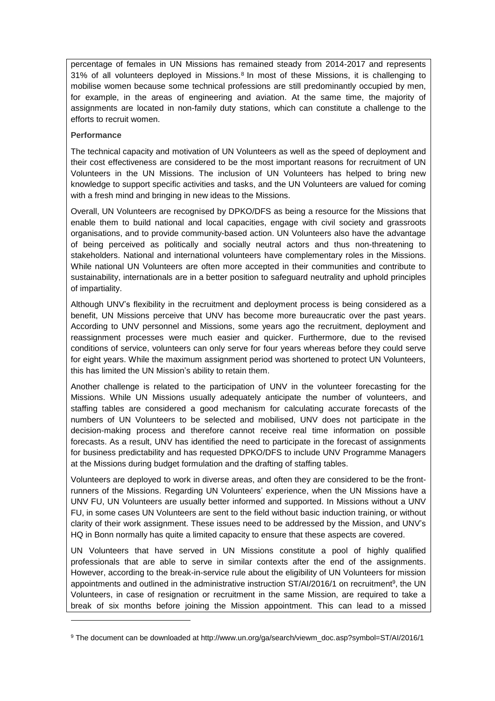percentage of females in UN Missions has remained steady from 2014-2017 and represents 31% of all volunteers deployed in Missions.<sup>8</sup> In most of these Missions, it is challenging to mobilise women because some technical professions are still predominantly occupied by men, for example, in the areas of engineering and aviation. At the same time, the majority of assignments are located in non-family duty stations, which can constitute a challenge to the efforts to recruit women.

## **Performance**

1

The technical capacity and motivation of UN Volunteers as well as the speed of deployment and their cost effectiveness are considered to be the most important reasons for recruitment of UN Volunteers in the UN Missions. The inclusion of UN Volunteers has helped to bring new knowledge to support specific activities and tasks, and the UN Volunteers are valued for coming with a fresh mind and bringing in new ideas to the Missions.

Overall, UN Volunteers are recognised by DPKO/DFS as being a resource for the Missions that enable them to build national and local capacities, engage with civil society and grassroots organisations, and to provide community-based action. UN Volunteers also have the advantage of being perceived as politically and socially neutral actors and thus non-threatening to stakeholders. National and international volunteers have complementary roles in the Missions. While national UN Volunteers are often more accepted in their communities and contribute to sustainability, internationals are in a better position to safeguard neutrality and uphold principles of impartiality.

Although UNV's flexibility in the recruitment and deployment process is being considered as a benefit, UN Missions perceive that UNV has become more bureaucratic over the past years. According to UNV personnel and Missions, some years ago the recruitment, deployment and reassignment processes were much easier and quicker. Furthermore, due to the revised conditions of service, volunteers can only serve for four years whereas before they could serve for eight years. While the maximum assignment period was shortened to protect UN Volunteers, this has limited the UN Mission's ability to retain them.

Another challenge is related to the participation of UNV in the volunteer forecasting for the Missions. While UN Missions usually adequately anticipate the number of volunteers, and staffing tables are considered a good mechanism for calculating accurate forecasts of the numbers of UN Volunteers to be selected and mobilised, UNV does not participate in the decision-making process and therefore cannot receive real time information on possible forecasts. As a result, UNV has identified the need to participate in the forecast of assignments for business predictability and has requested DPKO/DFS to include UNV Programme Managers at the Missions during budget formulation and the drafting of staffing tables.

Volunteers are deployed to work in diverse areas, and often they are considered to be the frontrunners of the Missions. Regarding UN Volunteers' experience, when the UN Missions have a UNV FU, UN Volunteers are usually better informed and supported. In Missions without a UNV FU, in some cases UN Volunteers are sent to the field without basic induction training, or without clarity of their work assignment. These issues need to be addressed by the Mission, and UNV's HQ in Bonn normally has quite a limited capacity to ensure that these aspects are covered.

UN Volunteers that have served in UN Missions constitute a pool of highly qualified professionals that are able to serve in similar contexts after the end of the assignments. However, according to the break-in-service rule about the eligibility of UN Volunteers for mission appointments and outlined in the administrative instruction ST/AI/2016/1 on recruitment<sup>9</sup>, the UN Volunteers, in case of resignation or recruitment in the same Mission, are required to take a break of six months before joining the Mission appointment. This can lead to a missed

<sup>9</sup> The document can be downloaded at http://www.un.org/ga/search/viewm\_doc.asp?symbol=ST/AI/2016/1